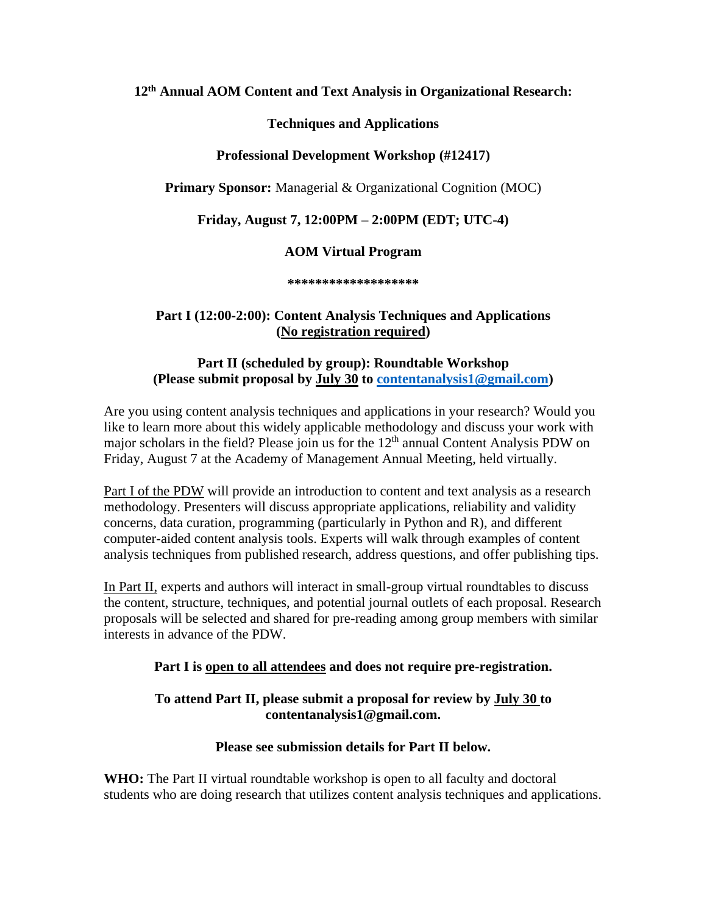**12 th Annual AOM Content and Text Analysis in Organizational Research:**

## **Techniques and Applications**

## **Professional Development Workshop (#12417)**

**Primary Sponsor:** Managerial & Organizational Cognition (MOC)

# **Friday, August 7, 12:00PM – 2:00PM (EDT; UTC-4)**

## **AOM Virtual Program**

**\*\*\*\*\*\*\*\*\*\*\*\*\*\*\*\*\*\*\***

### **Part I (12:00-2:00): Content Analysis Techniques and Applications (No registration required)**

## **Part II (scheduled by group): Roundtable Workshop (Please submit proposal by July 30 to [contentanalysis1@gmail.com\)](mailto:contentanalysis1@gmail.com)**

Are you using content analysis techniques and applications in your research? Would you like to learn more about this widely applicable methodology and discuss your work with major scholars in the field? Please join us for the 12<sup>th</sup> annual Content Analysis PDW on Friday, August 7 at the Academy of Management Annual Meeting, held virtually.

Part I of the PDW will provide an introduction to content and text analysis as a research methodology. Presenters will discuss appropriate applications, reliability and validity concerns, data curation, programming (particularly in Python and R), and different computer-aided content analysis tools. Experts will walk through examples of content analysis techniques from published research, address questions, and offer publishing tips.

In Part II, experts and authors will interact in small-group virtual roundtables to discuss the content, structure, techniques, and potential journal outlets of each proposal. Research proposals will be selected and shared for pre-reading among group members with similar interests in advance of the PDW.

### **Part I is open to all attendees and does not require pre-registration.**

### **To attend Part II, please submit a proposal for review by July 30 to contentanalysis1@gmail.com.**

### **Please see submission details for Part II below.**

**WHO:** The Part II virtual roundtable workshop is open to all faculty and doctoral students who are doing research that utilizes content analysis techniques and applications.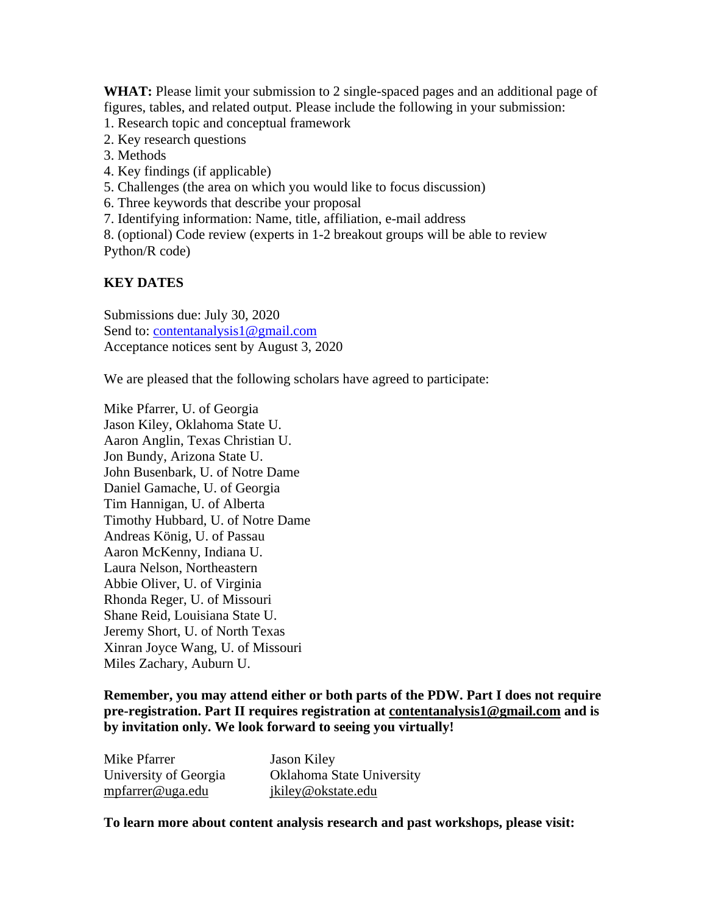**WHAT:** Please limit your submission to 2 single-spaced pages and an additional page of figures, tables, and related output. Please include the following in your submission:

- 1. Research topic and conceptual framework
- 2. Key research questions
- 3. Methods
- 4. Key findings (if applicable)
- 5. Challenges (the area on which you would like to focus discussion)
- 6. Three keywords that describe your proposal
- 7. Identifying information: Name, title, affiliation, e-mail address

8. (optional) Code review (experts in 1-2 breakout groups will be able to review Python/R code)

## **KEY DATES**

Submissions due: July 30, 2020 Send to: [contentanalysis1@gmail.com](mailto:contentanalysis1@gmail.com) Acceptance notices sent by August 3, 2020

We are pleased that the following scholars have agreed to participate:

Mike Pfarrer, U. of Georgia Jason Kiley, Oklahoma State U. Aaron Anglin, Texas Christian U. Jon Bundy, Arizona State U. John Busenbark, U. of Notre Dame Daniel Gamache, U. of Georgia Tim Hannigan, U. of Alberta Timothy Hubbard, U. of Notre Dame Andreas König, U. of Passau Aaron McKenny, Indiana U. Laura Nelson, Northeastern Abbie Oliver, U. of Virginia Rhonda Reger, U. of Missouri Shane Reid, Louisiana State U. Jeremy Short, U. of North Texas Xinran Joyce Wang, U. of Missouri Miles Zachary, Auburn U.

**Remember, you may attend either or both parts of the PDW. Part I does not require pre-registration. Part II requires registration at contentanalysis1@gmail.com and is by invitation only. We look forward to seeing you virtually!**

| Mike Pfarrer          | Jason Kiley               |
|-----------------------|---------------------------|
| University of Georgia | Oklahoma State University |
| mpfarrer@uga.edu      | jkiley@okstate.edu        |

**To learn more about content analysis research and past workshops, please visit:**